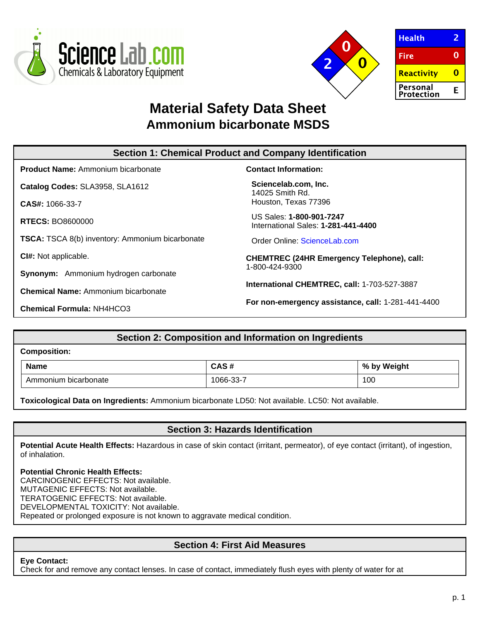



| <b>Health</b>          |   |
|------------------------|---|
| <b>Fire</b>            | O |
| Reactivity             |   |
| Personal<br>Protection | F |

# **Material Safety Data Sheet Ammonium bicarbonate MSDS**

| <b>Section 1: Chemical Product and Company Identification</b> |                                                                 |  |  |
|---------------------------------------------------------------|-----------------------------------------------------------------|--|--|
| <b>Product Name:</b> Ammonium bicarbonate                     | <b>Contact Information:</b>                                     |  |  |
| Catalog Codes: SLA3958, SLA1612                               | Sciencelab.com, Inc.<br>14025 Smith Rd.                         |  |  |
| <b>CAS#: 1066-33-7</b>                                        | Houston, Texas 77396                                            |  |  |
| <b>RTECS: BO8600000</b>                                       | US Sales: 1-800-901-7247<br>International Sales: 1-281-441-4400 |  |  |
| <b>TSCA:</b> TSCA 8(b) inventory: Ammonium bicarbonate        | Order Online: ScienceLab.com                                    |  |  |
| CI#: Not applicable.                                          | <b>CHEMTREC (24HR Emergency Telephone), call:</b>               |  |  |
| <b>Synonym:</b> Ammonium hydrogen carbonate                   | 1-800-424-9300                                                  |  |  |
| <b>Chemical Name:</b> Ammonium bicarbonate                    | International CHEMTREC, call: 1-703-527-3887                    |  |  |
| <b>Chemical Formula: NH4HCO3</b>                              | For non-emergency assistance, call: 1-281-441-4400              |  |  |

# **Section 2: Composition and Information on Ingredients**

| <b>Composition:</b> |                      |           |             |  |
|---------------------|----------------------|-----------|-------------|--|
|                     | <b>Name</b>          | CAS#      | % by Weight |  |
|                     | Ammonium bicarbonate | 1066-33-7 | 100         |  |

**Toxicological Data on Ingredients:** Ammonium bicarbonate LD50: Not available. LC50: Not available.

# **Section 3: Hazards Identification**

**Potential Acute Health Effects:** Hazardous in case of skin contact (irritant, permeator), of eye contact (irritant), of ingestion, of inhalation.

### **Potential Chronic Health Effects:**

CARCINOGENIC EFFECTS: Not available. MUTAGENIC EFFECTS: Not available. TERATOGENIC EFFECTS: Not available. DEVELOPMENTAL TOXICITY: Not available. Repeated or prolonged exposure is not known to aggravate medical condition.

# **Section 4: First Aid Measures**

### **Eye Contact:**

Check for and remove any contact lenses. In case of contact, immediately flush eyes with plenty of water for at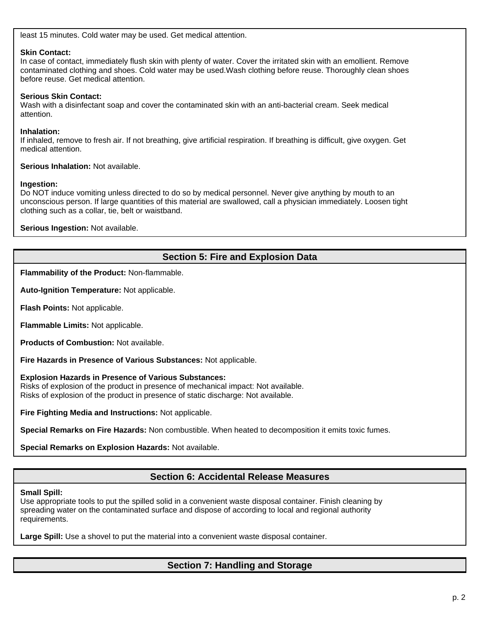least 15 minutes. Cold water may be used. Get medical attention.

### **Skin Contact:**

In case of contact, immediately flush skin with plenty of water. Cover the irritated skin with an emollient. Remove contaminated clothing and shoes. Cold water may be used.Wash clothing before reuse. Thoroughly clean shoes before reuse. Get medical attention.

### **Serious Skin Contact:**

Wash with a disinfectant soap and cover the contaminated skin with an anti-bacterial cream. Seek medical attention.

#### **Inhalation:**

If inhaled, remove to fresh air. If not breathing, give artificial respiration. If breathing is difficult, give oxygen. Get medical attention.

**Serious Inhalation:** Not available.

#### **Ingestion:**

Do NOT induce vomiting unless directed to do so by medical personnel. Never give anything by mouth to an unconscious person. If large quantities of this material are swallowed, call a physician immediately. Loosen tight clothing such as a collar, tie, belt or waistband.

**Serious Ingestion:** Not available.

# **Section 5: Fire and Explosion Data**

**Flammability of the Product:** Non-flammable.

**Auto-Ignition Temperature:** Not applicable.

**Flash Points:** Not applicable.

**Flammable Limits:** Not applicable.

**Products of Combustion:** Not available.

**Fire Hazards in Presence of Various Substances:** Not applicable.

**Explosion Hazards in Presence of Various Substances:**

Risks of explosion of the product in presence of mechanical impact: Not available. Risks of explosion of the product in presence of static discharge: Not available.

**Fire Fighting Media and Instructions:** Not applicable.

**Special Remarks on Fire Hazards:** Non combustible. When heated to decomposition it emits toxic fumes.

**Special Remarks on Explosion Hazards:** Not available.

## **Section 6: Accidental Release Measures**

**Small Spill:**

Use appropriate tools to put the spilled solid in a convenient waste disposal container. Finish cleaning by spreading water on the contaminated surface and dispose of according to local and regional authority requirements.

**Large Spill:** Use a shovel to put the material into a convenient waste disposal container.

# **Section 7: Handling and Storage**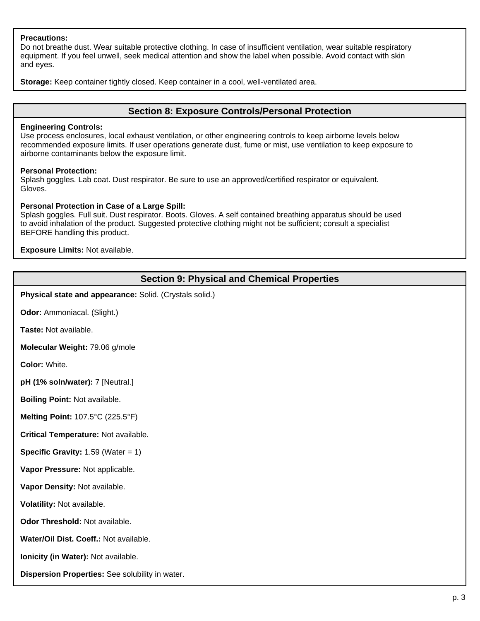### **Precautions:**

Do not breathe dust. Wear suitable protective clothing. In case of insufficient ventilation, wear suitable respiratory equipment. If you feel unwell, seek medical attention and show the label when possible. Avoid contact with skin and eyes.

**Storage:** Keep container tightly closed. Keep container in a cool, well-ventilated area.

### **Section 8: Exposure Controls/Personal Protection**

#### **Engineering Controls:**

Use process enclosures, local exhaust ventilation, or other engineering controls to keep airborne levels below recommended exposure limits. If user operations generate dust, fume or mist, use ventilation to keep exposure to airborne contaminants below the exposure limit.

#### **Personal Protection:**

Splash goggles. Lab coat. Dust respirator. Be sure to use an approved/certified respirator or equivalent. Gloves.

#### **Personal Protection in Case of a Large Spill:**

Splash goggles. Full suit. Dust respirator. Boots. Gloves. A self contained breathing apparatus should be used to avoid inhalation of the product. Suggested protective clothing might not be sufficient; consult a specialist BEFORE handling this product.

**Exposure Limits:** Not available.

## **Section 9: Physical and Chemical Properties**

**Physical state and appearance:** Solid. (Crystals solid.)

**Odor:** Ammoniacal. (Slight.)

**Taste:** Not available.

**Molecular Weight:** 79.06 g/mole

**Color:** White.

**pH (1% soln/water):** 7 [Neutral.]

**Boiling Point:** Not available.

**Melting Point:** 107.5°C (225.5°F)

**Critical Temperature:** Not available.

**Specific Gravity:** 1.59 (Water = 1)

**Vapor Pressure:** Not applicable.

**Vapor Density:** Not available.

**Volatility:** Not available.

**Odor Threshold:** Not available.

**Water/Oil Dist. Coeff.:** Not available.

**Ionicity (in Water):** Not available.

**Dispersion Properties:** See solubility in water.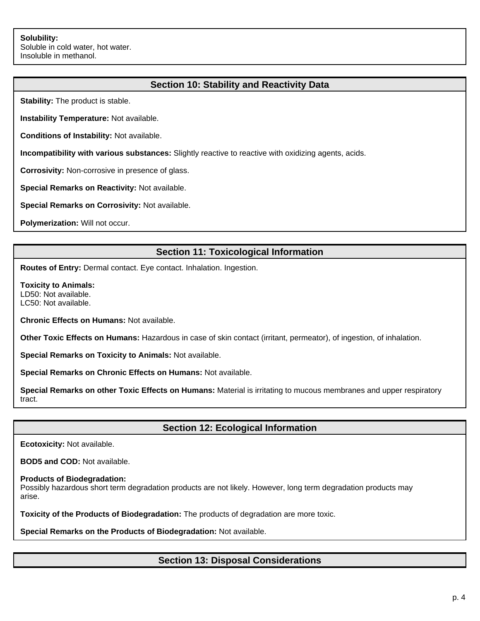# **Section 10: Stability and Reactivity Data**

**Stability:** The product is stable.

**Instability Temperature:** Not available.

**Conditions of Instability:** Not available.

**Incompatibility with various substances:** Slightly reactive to reactive with oxidizing agents, acids.

**Corrosivity:** Non-corrosive in presence of glass.

**Special Remarks on Reactivity:** Not available.

**Special Remarks on Corrosivity:** Not available.

**Polymerization:** Will not occur.

# **Section 11: Toxicological Information**

**Routes of Entry:** Dermal contact. Eye contact. Inhalation. Ingestion.

**Toxicity to Animals:** LD50: Not available. LC50: Not available.

**Chronic Effects on Humans:** Not available.

**Other Toxic Effects on Humans:** Hazardous in case of skin contact (irritant, permeator), of ingestion, of inhalation.

**Special Remarks on Toxicity to Animals:** Not available.

**Special Remarks on Chronic Effects on Humans:** Not available.

**Special Remarks on other Toxic Effects on Humans:** Material is irritating to mucous membranes and upper respiratory tract.

## **Section 12: Ecological Information**

**Ecotoxicity:** Not available.

**BOD5 and COD:** Not available.

#### **Products of Biodegradation:**

Possibly hazardous short term degradation products are not likely. However, long term degradation products may arise.

**Toxicity of the Products of Biodegradation:** The products of degradation are more toxic.

**Special Remarks on the Products of Biodegradation:** Not available.

## **Section 13: Disposal Considerations**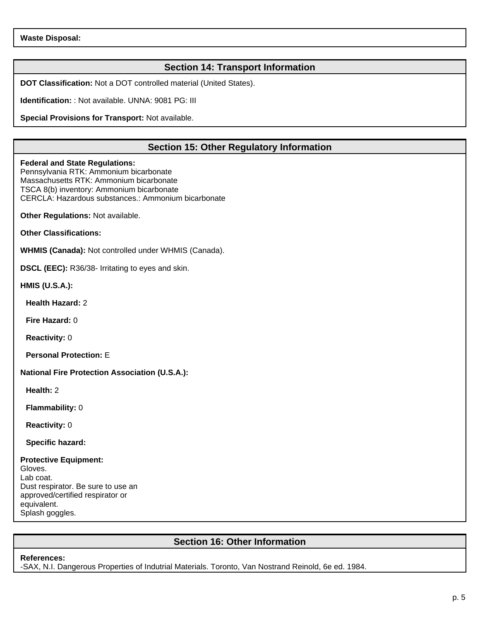# **Section 14: Transport Information**

**DOT Classification:** Not a DOT controlled material (United States).

**Identification:** : Not available. UNNA: 9081 PG: III

**Special Provisions for Transport:** Not available.

# **Section 15: Other Regulatory Information**

#### **Federal and State Regulations:**

Pennsylvania RTK: Ammonium bicarbonate Massachusetts RTK: Ammonium bicarbonate TSCA 8(b) inventory: Ammonium bicarbonate CERCLA: Hazardous substances.: Ammonium bicarbonate

**Other Regulations:** Not available.

**Other Classifications:**

**WHMIS (Canada):** Not controlled under WHMIS (Canada).

**DSCL (EEC):** R36/38- Irritating to eyes and skin.

**HMIS (U.S.A.):**

**Health Hazard:** 2

**Fire Hazard:** 0

**Reactivity:** 0

**Personal Protection:** E

**National Fire Protection Association (U.S.A.):**

**Health:** 2

**Flammability:** 0

**Reactivity:** 0

**Specific hazard:**

### **Protective Equipment:**

Gloves. Lab coat. Dust respirator. Be sure to use an approved/certified respirator or equivalent. Splash goggles.

# **Section 16: Other Information**

#### **References:**

-SAX, N.I. Dangerous Properties of Indutrial Materials. Toronto, Van Nostrand Reinold, 6e ed. 1984.